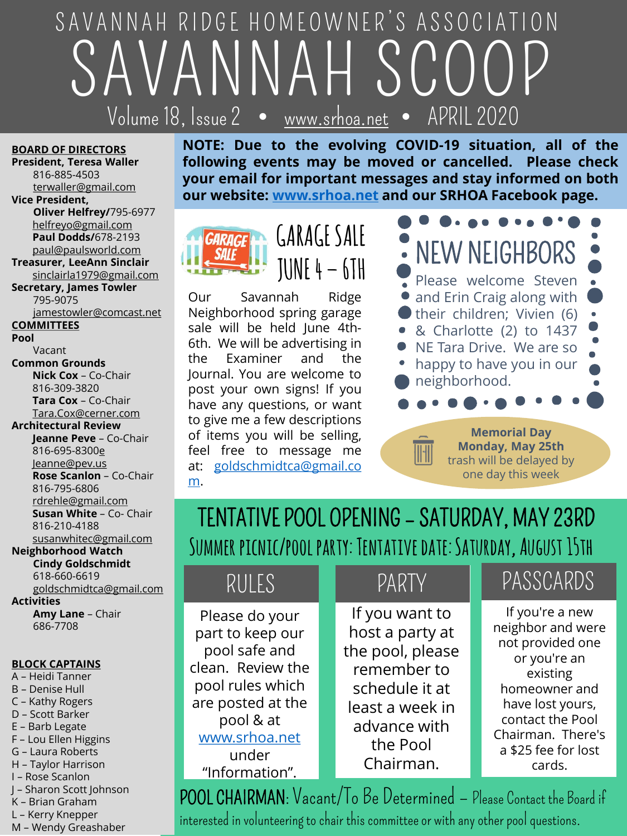# SAVANNAH SCOOP  $\sqrt{V_{\mathcal{O}}}$ lume $\sqrt{18}$ , Issue $\sqrt{2}$ SAVANNAH RIDGE HOMEOWNER'S ASSOCIATION

#### **BOARD OF DIRECTORS**

**President, Teresa Waller** 816-885-4503 [terwaller@gmail.com](mailto:terwaller@gmail.com)

**Vice President, Oliver Helfrey/**795-6977 [helfreyo@gmail.com](mailto:helfreyo@gmail.com) **Paul Dodds/**678-2193 [paul@paulsworld.com](mailto:paul@paulsworld.com)

**Treasurer, LeeAnn Sinclair** sinclairla1979@gmail.com

**Secretary, James Towler** 795-9075 [jamestowler@comcast.net](mailto:jamestowler@comcast.net)

**COMMITTEES**

**Pool**

Vacant

**Common Grounds Nick Cox** – Co-Chair 816-309-3820 **Tara Cox** – Co-Chair [Tara.Cox@cerner.com](mailto:Tara.Cox@cerner.com)

**Architectural Review** 

**Jeanne Peve** – Co-Chair 816-695-830[0e](mailto:eanne@peve.us) Je[anne@pev.us](mailto:eanne@peve.us) **Rose Scanlon** – Co-Chair 816-795-6806 [rdrehle@gmail.com](mailto:rdrehle@gmail.com) **Susan White** – Co- Chair 816-210-4188 [susanwhitec@gmail.com](mailto:drehle@gmail.com) **Neighborhood Watch**

**Cindy Goldschmidt** 618-660-6619 [goldschmidtca@gmail.com](mailto:goldschmidtca@gmail.com)

**Activities**

**Amy Lane** – Chair 686-7708

### **BLOCK CAPTAINS**

A – Heidi Tanner

- B Denise Hull
- C Kathy Rogers
- D Scott Barker
- E Barb Legate
- F Lou Ellen Higgins
- G Laura Roberts
- H Taylor Harrison I – Rose Scanlon
- J Sharon Scott Johnson
- K Brian Graham
- L Kerry Knepper
- M Wendy Greashaber

**NOTE: Due to the evolving COVID-19 situation, all of the following events may be moved or cancelled. Please check your email for important messages and stay informed on both our website: [www.srhoa.net](http://www.srhoa.net/) and our SRHOA Facebook page.**





Our Savannah Ridge Neighborhood spring garage sale will be held June 4th-6th. We will be advertising in the Examiner and the Journal. You are welcome to post your own signs! If you have any questions, or want to give me a few descriptions of items you will be selling, feel free to message me at: [goldschmidtca@gmail.co](mailto:goldschmidtca@gmail.com) m.



## TENTATIVE POOL OPENING – SATURDAY, MAY 23RD **Summer picnic/pool party: Tentative date: Saturday, August 15th**

Please do your part to keep our pool safe and clean. Review the pool rules which are posted at the pool & at [www.srhoa.net](http://www.srhoa.net/) under "Information".

If you want to host a party at the pool, please remember to schedule it at least a week in advance with the Pool Chairman.

## RULES **No. 19 PARTY PASSCARDS**

If you're a new neighbor and were not provided one or you're an existing homeowner and have lost yours, contact the Pool Chairman. There's a \$25 fee for lost cards.

POOL CHAIRMAN: Vacant/To Be Determined – Please Contact the Board if interested in volunteering to chair this committee or with any other pool questions.